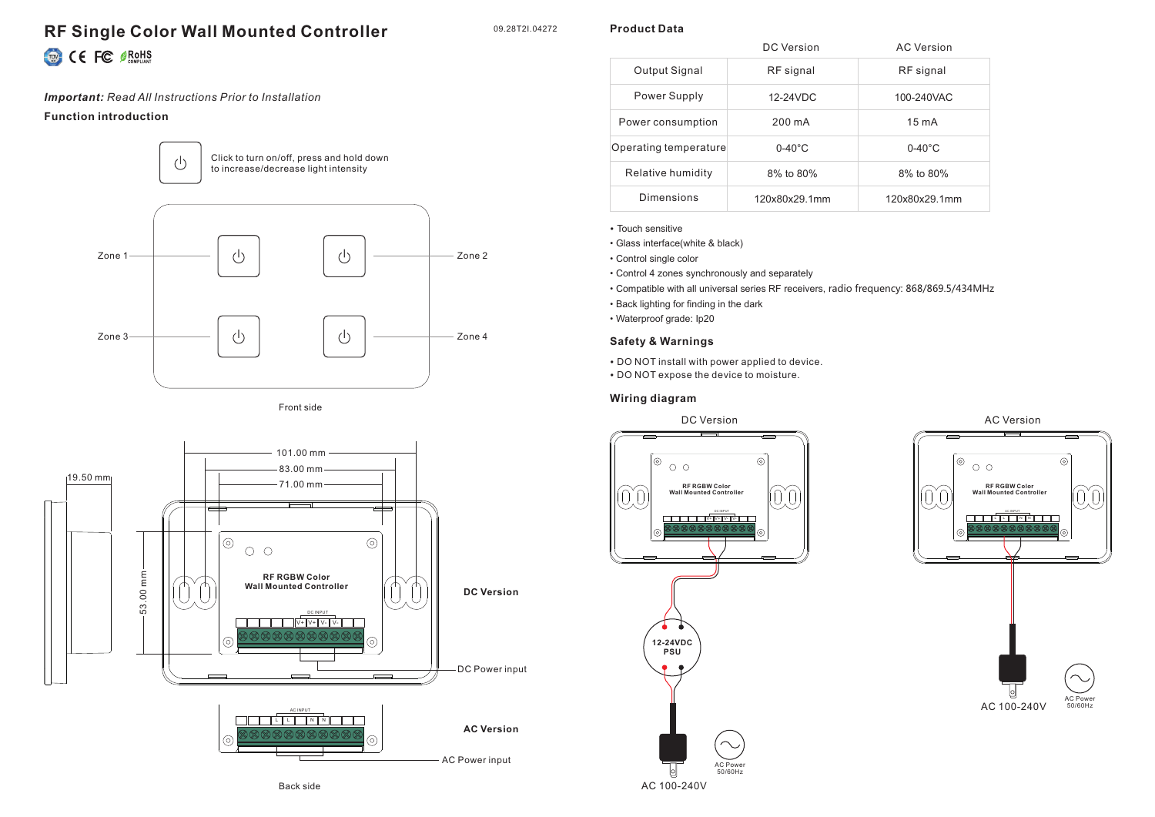# **RF Single Color Wall Mounted Controller** CE FC SROHS

# *Important: Read All Instructions Prior to Installation*

## **Function introduction**









|                       | DC Version       | AC Version       |
|-----------------------|------------------|------------------|
| Output Signal         | RF signal        | RF signal        |
| Power Supply          | 12-24VDC         | 100-240VAC       |
| Power consumption     | 200 mA           | $15 \text{ mA}$  |
| Operating temperature | $0-40^{\circ}$ C | $0-40^{\circ}$ C |
| Relative humidity     | 8% to 80%        | 8% to 80%        |
| Dimensions            | 120x80x29.1mm    | 120x80x29.1mm    |

• Touch sensitive

• Glass interface(white & black)

• Control single color

- Control 4 zones synchronously and separately
- Compatible with all universal series RF receivers, radio frequency: 868/869.5/434MHz
- Back lighting for finding in the dark
- Waterproof grade: Ip20

## **Safety & Warnings**

• DO NOT install with power applied to device.

• DO NOT expose the device to moisture.

### **Wiring diagram**





### 09.28T2I.04272

**Product Data**